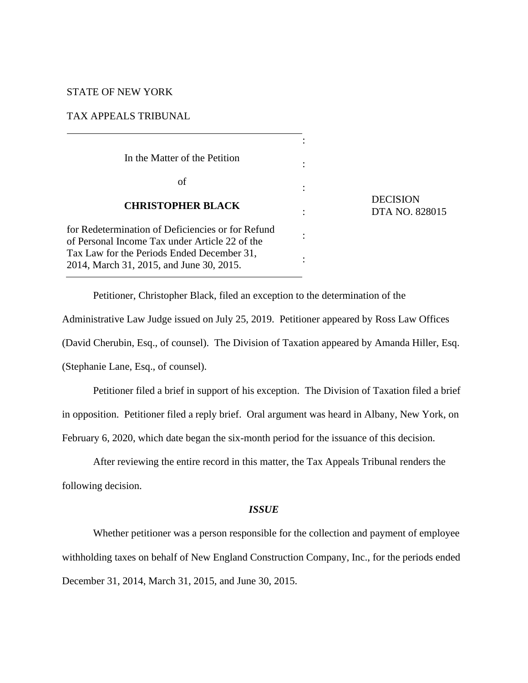# STATE OF NEW YORK

### TAX APPEALS TRIBUNAL

In the Matter of the Petition of **CHRISTOPHER BLACK** for Redetermination of Deficiencies or for Refund of Personal Income Tax under Article 22 of the Tax Law for the Periods Ended December 31, 2014, March 31, 2015, and June 30, 2015. : : : : : :

Petitioner, Christopher Black, filed an exception to the determination of the Administrative Law Judge issued on July 25, 2019. Petitioner appeared by Ross Law Offices (David Cherubin, Esq., of counsel). The Division of Taxation appeared by Amanda Hiller, Esq. (Stephanie Lane, Esq., of counsel).

**DECISION** 

DTA NO. 828015

Petitioner filed a brief in support of his exception. The Division of Taxation filed a brief in opposition. Petitioner filed a reply brief. Oral argument was heard in Albany, New York, on February 6, 2020, which date began the six-month period for the issuance of this decision.

After reviewing the entire record in this matter, the Tax Appeals Tribunal renders the following decision.

# *ISSUE*

Whether petitioner was a person responsible for the collection and payment of employee withholding taxes on behalf of New England Construction Company, Inc., for the periods ended December 31, 2014, March 31, 2015, and June 30, 2015.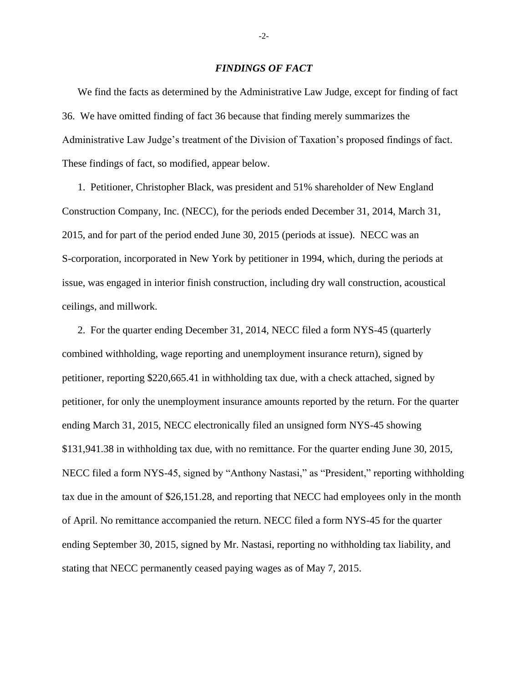### *FINDINGS OF FACT*

We find the facts as determined by the Administrative Law Judge, except for finding of fact 36. We have omitted finding of fact 36 because that finding merely summarizes the Administrative Law Judge's treatment of the Division of Taxation's proposed findings of fact. These findings of fact, so modified, appear below.

1. Petitioner, Christopher Black, was president and 51% shareholder of New England Construction Company, Inc. (NECC), for the periods ended December 31, 2014, March 31, 2015, and for part of the period ended June 30, 2015 (periods at issue). NECC was an S-corporation, incorporated in New York by petitioner in 1994, which, during the periods at issue, was engaged in interior finish construction, including dry wall construction, acoustical ceilings, and millwork.

2. For the quarter ending December 31, 2014, NECC filed a form NYS-45 (quarterly combined withholding, wage reporting and unemployment insurance return), signed by petitioner, reporting \$220,665.41 in withholding tax due, with a check attached, signed by petitioner, for only the unemployment insurance amounts reported by the return. For the quarter ending March 31, 2015, NECC electronically filed an unsigned form NYS-45 showing \$131,941.38 in withholding tax due, with no remittance. For the quarter ending June 30, 2015, NECC filed a form NYS-45, signed by "Anthony Nastasi," as "President," reporting withholding tax due in the amount of \$26,151.28, and reporting that NECC had employees only in the month of April. No remittance accompanied the return. NECC filed a form NYS-45 for the quarter ending September 30, 2015, signed by Mr. Nastasi, reporting no withholding tax liability, and stating that NECC permanently ceased paying wages as of May 7, 2015.

-2-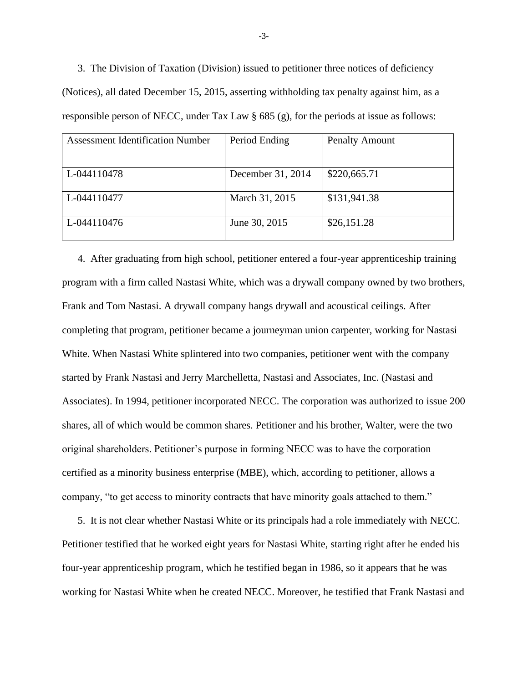3. The Division of Taxation (Division) issued to petitioner three notices of deficiency (Notices), all dated December 15, 2015, asserting withholding tax penalty against him, as a responsible person of NECC, under Tax Law § 685 (g), for the periods at issue as follows:

| Assessment Identification Number | Period Ending     | <b>Penalty Amount</b> |
|----------------------------------|-------------------|-----------------------|
|                                  |                   |                       |
|                                  |                   |                       |
|                                  |                   |                       |
|                                  |                   |                       |
|                                  |                   |                       |
| L-044110478                      | December 31, 2014 | \$220,665.71          |
|                                  |                   |                       |
|                                  |                   |                       |
|                                  |                   |                       |
|                                  |                   |                       |
| L-044110477                      | March 31, 2015    | \$131,941.38          |
|                                  |                   |                       |
|                                  |                   |                       |
|                                  |                   |                       |
| L-044110476                      | June 30, 2015     | \$26,151.28           |
|                                  |                   |                       |
|                                  |                   |                       |
|                                  |                   |                       |

4. After graduating from high school, petitioner entered a four-year apprenticeship training program with a firm called Nastasi White, which was a drywall company owned by two brothers, Frank and Tom Nastasi. A drywall company hangs drywall and acoustical ceilings. After completing that program, petitioner became a journeyman union carpenter, working for Nastasi White. When Nastasi White splintered into two companies, petitioner went with the company started by Frank Nastasi and Jerry Marchelletta, Nastasi and Associates, Inc. (Nastasi and Associates). In 1994, petitioner incorporated NECC. The corporation was authorized to issue 200 shares, all of which would be common shares. Petitioner and his brother, Walter, were the two original shareholders. Petitioner's purpose in forming NECC was to have the corporation certified as a minority business enterprise (MBE), which, according to petitioner, allows a company, "to get access to minority contracts that have minority goals attached to them."

5. It is not clear whether Nastasi White or its principals had a role immediately with NECC. Petitioner testified that he worked eight years for Nastasi White, starting right after he ended his four-year apprenticeship program, which he testified began in 1986, so it appears that he was working for Nastasi White when he created NECC. Moreover, he testified that Frank Nastasi and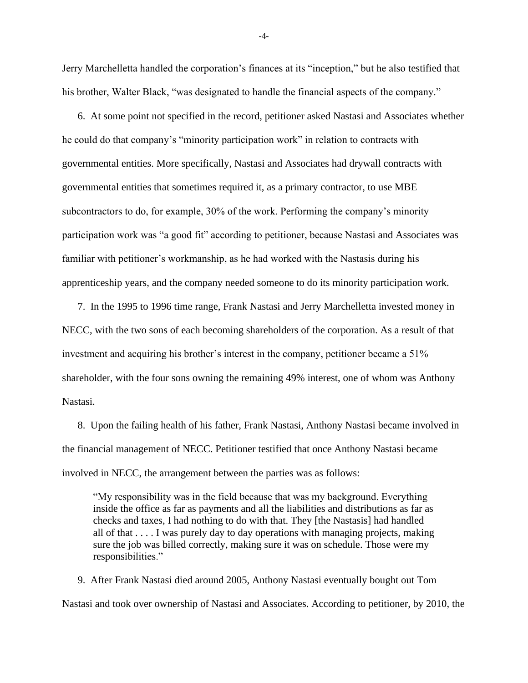Jerry Marchelletta handled the corporation's finances at its "inception," but he also testified that his brother, Walter Black, "was designated to handle the financial aspects of the company."

6. At some point not specified in the record, petitioner asked Nastasi and Associates whether he could do that company's "minority participation work" in relation to contracts with governmental entities. More specifically, Nastasi and Associates had drywall contracts with governmental entities that sometimes required it, as a primary contractor, to use MBE subcontractors to do, for example, 30% of the work. Performing the company's minority participation work was "a good fit" according to petitioner, because Nastasi and Associates was familiar with petitioner's workmanship, as he had worked with the Nastasis during his apprenticeship years, and the company needed someone to do its minority participation work.

7. In the 1995 to 1996 time range, Frank Nastasi and Jerry Marchelletta invested money in NECC, with the two sons of each becoming shareholders of the corporation. As a result of that investment and acquiring his brother's interest in the company, petitioner became a 51% shareholder, with the four sons owning the remaining 49% interest, one of whom was Anthony Nastasi.

8. Upon the failing health of his father, Frank Nastasi, Anthony Nastasi became involved in the financial management of NECC. Petitioner testified that once Anthony Nastasi became involved in NECC, the arrangement between the parties was as follows:

"My responsibility was in the field because that was my background. Everything inside the office as far as payments and all the liabilities and distributions as far as checks and taxes, I had nothing to do with that. They [the Nastasis] had handled all of that . . . . I was purely day to day operations with managing projects, making sure the job was billed correctly, making sure it was on schedule. Those were my responsibilities."

9. After Frank Nastasi died around 2005, Anthony Nastasi eventually bought out Tom Nastasi and took over ownership of Nastasi and Associates. According to petitioner, by 2010, the

-4-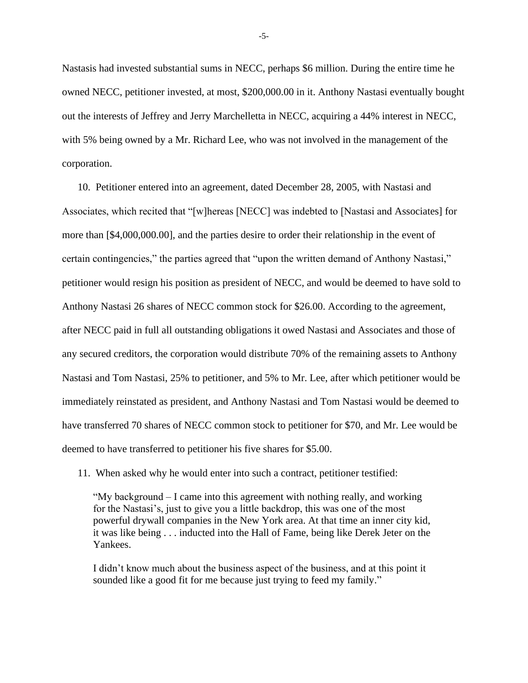Nastasis had invested substantial sums in NECC, perhaps \$6 million. During the entire time he owned NECC, petitioner invested, at most, \$200,000.00 in it. Anthony Nastasi eventually bought out the interests of Jeffrey and Jerry Marchelletta in NECC, acquiring a 44% interest in NECC, with 5% being owned by a Mr. Richard Lee, who was not involved in the management of the corporation.

10. Petitioner entered into an agreement, dated December 28, 2005, with Nastasi and Associates, which recited that "[w]hereas [NECC] was indebted to [Nastasi and Associates] for more than [\$4,000,000.00], and the parties desire to order their relationship in the event of certain contingencies," the parties agreed that "upon the written demand of Anthony Nastasi," petitioner would resign his position as president of NECC, and would be deemed to have sold to Anthony Nastasi 26 shares of NECC common stock for \$26.00. According to the agreement, after NECC paid in full all outstanding obligations it owed Nastasi and Associates and those of any secured creditors, the corporation would distribute 70% of the remaining assets to Anthony Nastasi and Tom Nastasi, 25% to petitioner, and 5% to Mr. Lee, after which petitioner would be immediately reinstated as president, and Anthony Nastasi and Tom Nastasi would be deemed to have transferred 70 shares of NECC common stock to petitioner for \$70, and Mr. Lee would be deemed to have transferred to petitioner his five shares for \$5.00.

11. When asked why he would enter into such a contract, petitioner testified:

"My background  $- I$  came into this agreement with nothing really, and working for the Nastasi's, just to give you a little backdrop, this was one of the most powerful drywall companies in the New York area. At that time an inner city kid, it was like being . . . inducted into the Hall of Fame, being like Derek Jeter on the Yankees.

I didn't know much about the business aspect of the business, and at this point it sounded like a good fit for me because just trying to feed my family."

-5-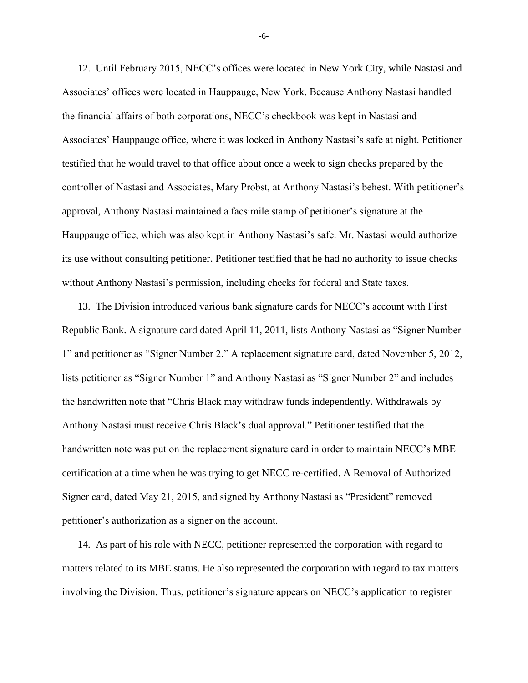12. Until February 2015, NECC's offices were located in New York City, while Nastasi and Associates' offices were located in Hauppauge, New York. Because Anthony Nastasi handled the financial affairs of both corporations, NECC's checkbook was kept in Nastasi and Associates' Hauppauge office, where it was locked in Anthony Nastasi's safe at night. Petitioner testified that he would travel to that office about once a week to sign checks prepared by the controller of Nastasi and Associates, Mary Probst, at Anthony Nastasi's behest. With petitioner's approval, Anthony Nastasi maintained a facsimile stamp of petitioner's signature at the Hauppauge office, which was also kept in Anthony Nastasi's safe. Mr. Nastasi would authorize its use without consulting petitioner. Petitioner testified that he had no authority to issue checks without Anthony Nastasi's permission, including checks for federal and State taxes.

13. The Division introduced various bank signature cards for NECC's account with First Republic Bank. A signature card dated April 11, 2011, lists Anthony Nastasi as "Signer Number 1" and petitioner as "Signer Number 2." A replacement signature card, dated November 5, 2012, lists petitioner as "Signer Number 1" and Anthony Nastasi as "Signer Number 2" and includes the handwritten note that "Chris Black may withdraw funds independently. Withdrawals by Anthony Nastasi must receive Chris Black's dual approval." Petitioner testified that the handwritten note was put on the replacement signature card in order to maintain NECC's MBE certification at a time when he was trying to get NECC re-certified. A Removal of Authorized Signer card, dated May 21, 2015, and signed by Anthony Nastasi as "President" removed petitioner's authorization as a signer on the account.

14. As part of his role with NECC, petitioner represented the corporation with regard to matters related to its MBE status. He also represented the corporation with regard to tax matters involving the Division. Thus, petitioner's signature appears on NECC's application to register

-6-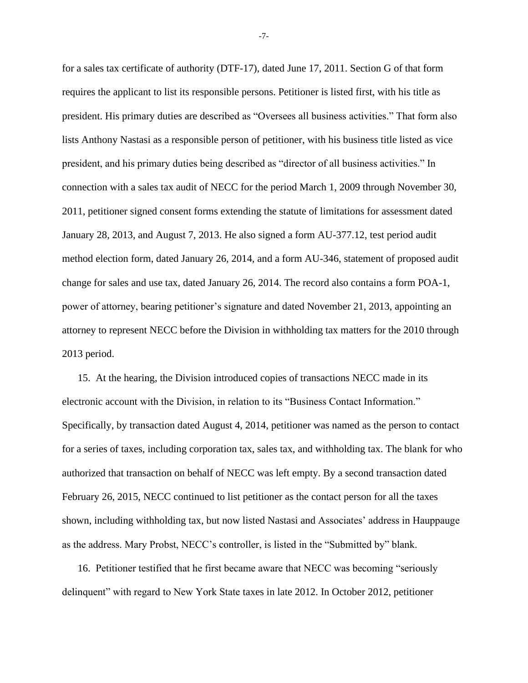for a sales tax certificate of authority (DTF-17), dated June 17, 2011. Section G of that form requires the applicant to list its responsible persons. Petitioner is listed first, with his title as president. His primary duties are described as "Oversees all business activities." That form also lists Anthony Nastasi as a responsible person of petitioner, with his business title listed as vice president, and his primary duties being described as "director of all business activities." In connection with a sales tax audit of NECC for the period March 1, 2009 through November 30, 2011, petitioner signed consent forms extending the statute of limitations for assessment dated January 28, 2013, and August 7, 2013. He also signed a form AU-377.12, test period audit method election form, dated January 26, 2014, and a form AU-346, statement of proposed audit change for sales and use tax, dated January 26, 2014. The record also contains a form POA-1, power of attorney, bearing petitioner's signature and dated November 21, 2013, appointing an attorney to represent NECC before the Division in withholding tax matters for the 2010 through 2013 period.

15. At the hearing, the Division introduced copies of transactions NECC made in its electronic account with the Division, in relation to its "Business Contact Information." Specifically, by transaction dated August 4, 2014, petitioner was named as the person to contact for a series of taxes, including corporation tax, sales tax, and withholding tax. The blank for who authorized that transaction on behalf of NECC was left empty. By a second transaction dated February 26, 2015, NECC continued to list petitioner as the contact person for all the taxes shown, including withholding tax, but now listed Nastasi and Associates' address in Hauppauge as the address. Mary Probst, NECC's controller, is listed in the "Submitted by" blank.

16. Petitioner testified that he first became aware that NECC was becoming "seriously delinquent" with regard to New York State taxes in late 2012. In October 2012, petitioner

-7-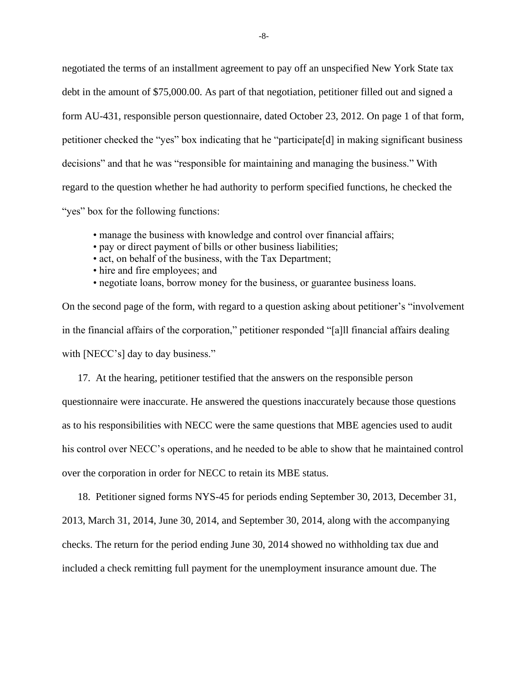negotiated the terms of an installment agreement to pay off an unspecified New York State tax debt in the amount of \$75,000.00. As part of that negotiation, petitioner filled out and signed a form AU-431, responsible person questionnaire, dated October 23, 2012. On page 1 of that form, petitioner checked the "yes" box indicating that he "participate[d] in making significant business decisions" and that he was "responsible for maintaining and managing the business." With regard to the question whether he had authority to perform specified functions, he checked the "yes" box for the following functions:

- manage the business with knowledge and control over financial affairs;
- pay or direct payment of bills or other business liabilities;
- act, on behalf of the business, with the Tax Department;
- hire and fire employees; and
- negotiate loans, borrow money for the business, or guarantee business loans.

On the second page of the form, with regard to a question asking about petitioner's "involvement in the financial affairs of the corporation," petitioner responded "[a]ll financial affairs dealing with [NECC's] day to day business."

17. At the hearing, petitioner testified that the answers on the responsible person questionnaire were inaccurate. He answered the questions inaccurately because those questions as to his responsibilities with NECC were the same questions that MBE agencies used to audit his control over NECC's operations, and he needed to be able to show that he maintained control over the corporation in order for NECC to retain its MBE status.

18. Petitioner signed forms NYS-45 for periods ending September 30, 2013, December 31, 2013, March 31, 2014, June 30, 2014, and September 30, 2014, along with the accompanying checks. The return for the period ending June 30, 2014 showed no withholding tax due and included a check remitting full payment for the unemployment insurance amount due. The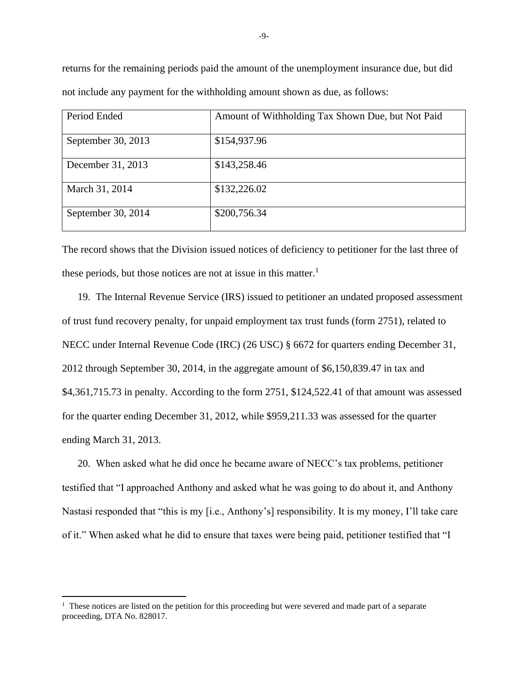returns for the remaining periods paid the amount of the unemployment insurance due, but did not include any payment for the withholding amount shown as due, as follows:

| Period Ended       | Amount of Withholding Tax Shown Due, but Not Paid |
|--------------------|---------------------------------------------------|
| September 30, 2013 | \$154,937.96                                      |
| December 31, 2013  | \$143,258.46                                      |
| March 31, 2014     | \$132,226.02                                      |
| September 30, 2014 | \$200,756.34                                      |

The record shows that the Division issued notices of deficiency to petitioner for the last three of these periods, but those notices are not at issue in this matter.<sup>1</sup>

19. The Internal Revenue Service (IRS) issued to petitioner an undated proposed assessment of trust fund recovery penalty, for unpaid employment tax trust funds (form 2751), related to NECC under Internal Revenue Code (IRC) (26 USC) § 6672 for quarters ending December 31, 2012 through September 30, 2014, in the aggregate amount of \$6,150,839.47 in tax and \$4,361,715.73 in penalty. According to the form 2751, \$124,522.41 of that amount was assessed for the quarter ending December 31, 2012, while \$959,211.33 was assessed for the quarter ending March 31, 2013.

20. When asked what he did once he became aware of NECC's tax problems, petitioner testified that "I approached Anthony and asked what he was going to do about it, and Anthony Nastasi responded that "this is my [i.e., Anthony's] responsibility. It is my money, I'll take care of it." When asked what he did to ensure that taxes were being paid, petitioner testified that "I

<sup>&</sup>lt;sup>1</sup> These notices are listed on the petition for this proceeding but were severed and made part of a separate proceeding, DTA No. 828017.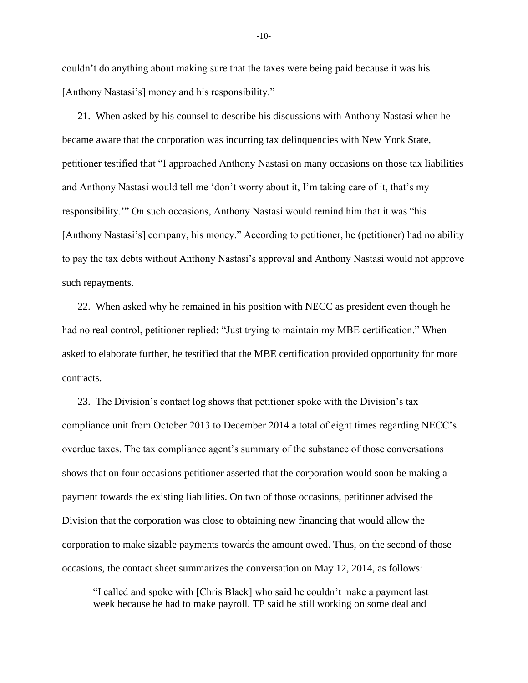couldn't do anything about making sure that the taxes were being paid because it was his [Anthony Nastasi's] money and his responsibility."

21. When asked by his counsel to describe his discussions with Anthony Nastasi when he became aware that the corporation was incurring tax delinquencies with New York State, petitioner testified that "I approached Anthony Nastasi on many occasions on those tax liabilities and Anthony Nastasi would tell me 'don't worry about it, I'm taking care of it, that's my responsibility.'" On such occasions, Anthony Nastasi would remind him that it was "his [Anthony Nastasi's] company, his money." According to petitioner, he (petitioner) had no ability to pay the tax debts without Anthony Nastasi's approval and Anthony Nastasi would not approve such repayments.

22. When asked why he remained in his position with NECC as president even though he had no real control, petitioner replied: "Just trying to maintain my MBE certification." When asked to elaborate further, he testified that the MBE certification provided opportunity for more contracts.

23. The Division's contact log shows that petitioner spoke with the Division's tax compliance unit from October 2013 to December 2014 a total of eight times regarding NECC's overdue taxes. The tax compliance agent's summary of the substance of those conversations shows that on four occasions petitioner asserted that the corporation would soon be making a payment towards the existing liabilities. On two of those occasions, petitioner advised the Division that the corporation was close to obtaining new financing that would allow the corporation to make sizable payments towards the amount owed. Thus, on the second of those occasions, the contact sheet summarizes the conversation on May 12, 2014, as follows:

"I called and spoke with [Chris Black] who said he couldn't make a payment last week because he had to make payroll. TP said he still working on some deal and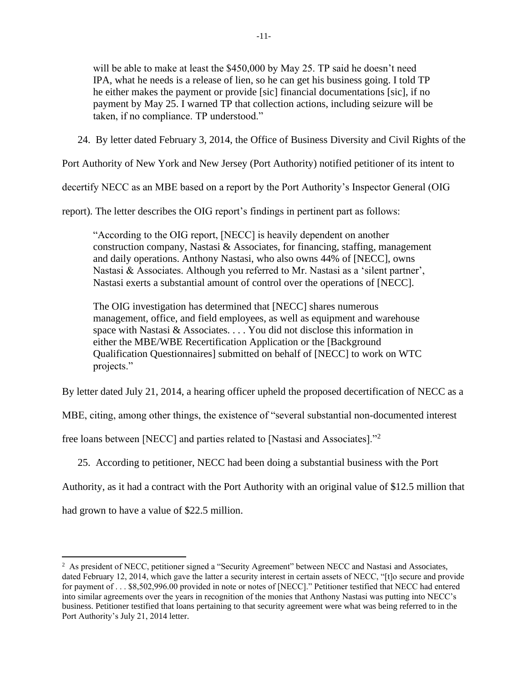will be able to make at least the \$450,000 by May 25. TP said he doesn't need IPA, what he needs is a release of lien, so he can get his business going. I told TP he either makes the payment or provide [sic] financial documentations [sic], if no payment by May 25. I warned TP that collection actions, including seizure will be taken, if no compliance. TP understood."

24. By letter dated February 3, 2014, the Office of Business Diversity and Civil Rights of the

Port Authority of New York and New Jersey (Port Authority) notified petitioner of its intent to

decertify NECC as an MBE based on a report by the Port Authority's Inspector General (OIG

report). The letter describes the OIG report's findings in pertinent part as follows:

"According to the OIG report, [NECC] is heavily dependent on another construction company, Nastasi  $\&$  Associates, for financing, staffing, management and daily operations. Anthony Nastasi, who also owns 44% of [NECC], owns Nastasi & Associates. Although you referred to Mr. Nastasi as a 'silent partner', Nastasi exerts a substantial amount of control over the operations of [NECC].

The OIG investigation has determined that [NECC] shares numerous management, office, and field employees, as well as equipment and warehouse space with Nastasi & Associates. . . . You did not disclose this information in either the MBE/WBE Recertification Application or the [Background Qualification Questionnaires] submitted on behalf of [NECC] to work on WTC projects."

By letter dated July 21, 2014, a hearing officer upheld the proposed decertification of NECC as a

MBE, citing, among other things, the existence of "several substantial non-documented interest

free loans between [NECC] and parties related to [Nastasi and Associates]."<sup>2</sup>

25. According to petitioner, NECC had been doing a substantial business with the Port

Authority, as it had a contract with the Port Authority with an original value of \$12.5 million that

had grown to have a value of \$22.5 million.

<sup>&</sup>lt;sup>2</sup> As president of NECC, petitioner signed a "Security Agreement" between NECC and Nastasi and Associates, dated February 12, 2014, which gave the latter a security interest in certain assets of NECC, "[t]o secure and provide for payment of . . . \$8,502,996.00 provided in note or notes of [NECC]." Petitioner testified that NECC had entered into similar agreements over the years in recognition of the monies that Anthony Nastasi was putting into NECC's business. Petitioner testified that loans pertaining to that security agreement were what was being referred to in the Port Authority's July 21, 2014 letter.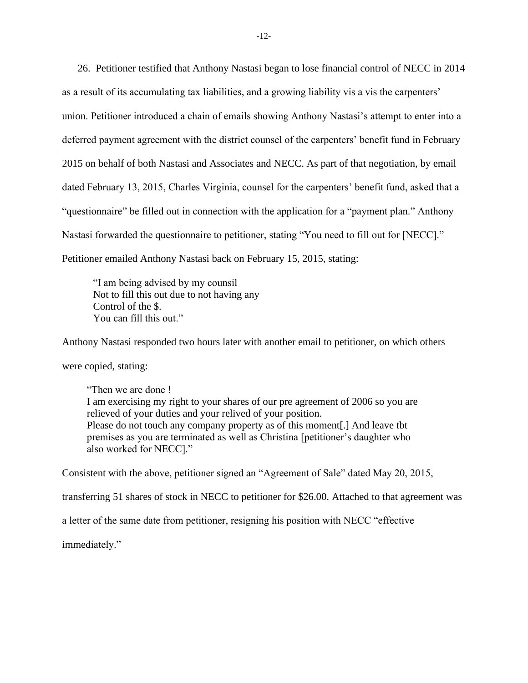26. Petitioner testified that Anthony Nastasi began to lose financial control of NECC in 2014 as a result of its accumulating tax liabilities, and a growing liability vis a vis the carpenters' union. Petitioner introduced a chain of emails showing Anthony Nastasi's attempt to enter into a deferred payment agreement with the district counsel of the carpenters' benefit fund in February 2015 on behalf of both Nastasi and Associates and NECC. As part of that negotiation, by email dated February 13, 2015, Charles Virginia, counsel for the carpenters' benefit fund, asked that a "questionnaire" be filled out in connection with the application for a "payment plan." Anthony Nastasi forwarded the questionnaire to petitioner, stating "You need to fill out for [NECC]." Petitioner emailed Anthony Nastasi back on February 15, 2015, stating:

"I am being advised by my counsil Not to fill this out due to not having any Control of the \$. You can fill this out."

Anthony Nastasi responded two hours later with another email to petitioner, on which others were copied, stating: "Then we are done !

I am exercising my right to your shares of our pre agreement of 2006 so you are relieved of your duties and your relived of your position. Please do not touch any company property as of this moment[.] And leave tbt premises as you are terminated as well as Christina [petitioner's daughter who also worked for NECC]."

Consistent with the above, petitioner signed an "Agreement of Sale" dated May 20, 2015,

transferring 51 shares of stock in NECC to petitioner for \$26.00. Attached to that agreement was

a letter of the same date from petitioner, resigning his position with NECC "effective

immediately."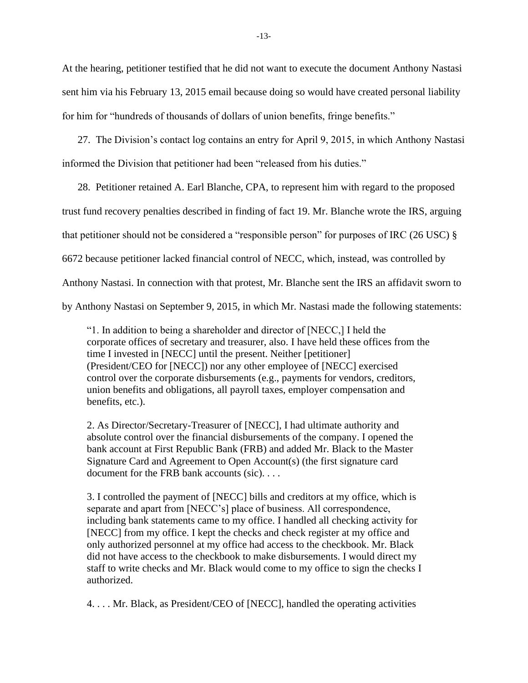At the hearing, petitioner testified that he did not want to execute the document Anthony Nastasi sent him via his February 13, 2015 email because doing so would have created personal liability for him for "hundreds of thousands of dollars of union benefits, fringe benefits."

27. The Division's contact log contains an entry for April 9, 2015, in which Anthony Nastasi informed the Division that petitioner had been "released from his duties."

28. Petitioner retained A. Earl Blanche, CPA, to represent him with regard to the proposed trust fund recovery penalties described in finding of fact 19. Mr. Blanche wrote the IRS, arguing that petitioner should not be considered a "responsible person" for purposes of IRC (26 USC) § 6672 because petitioner lacked financial control of NECC, which, instead, was controlled by Anthony Nastasi. In connection with that protest, Mr. Blanche sent the IRS an affidavit sworn to by Anthony Nastasi on September 9, 2015, in which Mr. Nastasi made the following statements:

"1. In addition to being a shareholder and director of [NECC,] I held the corporate offices of secretary and treasurer, also. I have held these offices from the time I invested in [NECC] until the present. Neither [petitioner] (President/CEO for [NECC]) nor any other employee of [NECC] exercised control over the corporate disbursements (e.g., payments for vendors, creditors, union benefits and obligations, all payroll taxes, employer compensation and benefits, etc.).

2. As Director/Secretary-Treasurer of [NECC], I had ultimate authority and absolute control over the financial disbursements of the company. I opened the bank account at First Republic Bank (FRB) and added Mr. Black to the Master Signature Card and Agreement to Open Account(s) (the first signature card document for the FRB bank accounts (sic). . . .

3. I controlled the payment of [NECC] bills and creditors at my office, which is separate and apart from [NECC's] place of business. All correspondence, including bank statements came to my office. I handled all checking activity for [NECC] from my office. I kept the checks and check register at my office and only authorized personnel at my office had access to the checkbook. Mr. Black did not have access to the checkbook to make disbursements. I would direct my staff to write checks and Mr. Black would come to my office to sign the checks I authorized.

4. . . . Mr. Black, as President/CEO of [NECC], handled the operating activities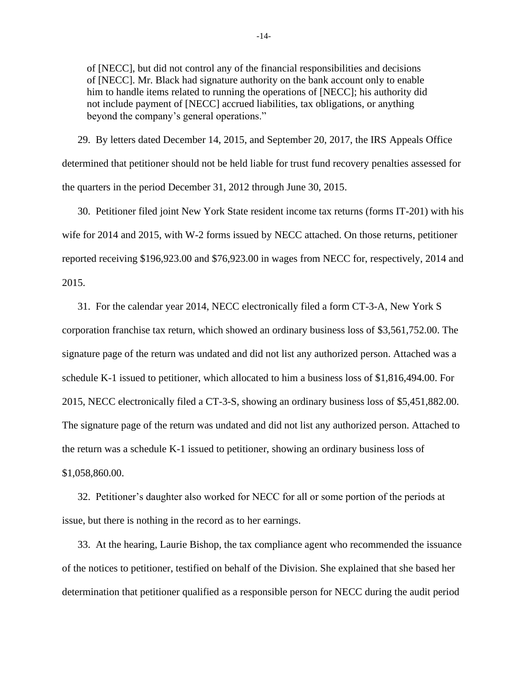of [NECC], but did not control any of the financial responsibilities and decisions of [NECC]. Mr. Black had signature authority on the bank account only to enable him to handle items related to running the operations of [NECC]; his authority did not include payment of [NECC] accrued liabilities, tax obligations, or anything beyond the company's general operations."

29. By letters dated December 14, 2015, and September 20, 2017, the IRS Appeals Office determined that petitioner should not be held liable for trust fund recovery penalties assessed for the quarters in the period December 31, 2012 through June 30, 2015.

30. Petitioner filed joint New York State resident income tax returns (forms IT-201) with his wife for 2014 and 2015, with W-2 forms issued by NECC attached. On those returns, petitioner reported receiving \$196,923.00 and \$76,923.00 in wages from NECC for, respectively, 2014 and 2015.

31. For the calendar year 2014, NECC electronically filed a form CT-3-A, New York S corporation franchise tax return, which showed an ordinary business loss of \$3,561,752.00. The signature page of the return was undated and did not list any authorized person. Attached was a schedule K-1 issued to petitioner, which allocated to him a business loss of \$1,816,494.00. For 2015, NECC electronically filed a CT-3-S, showing an ordinary business loss of \$5,451,882.00. The signature page of the return was undated and did not list any authorized person. Attached to the return was a schedule K-1 issued to petitioner, showing an ordinary business loss of \$1,058,860.00.

32. Petitioner's daughter also worked for NECC for all or some portion of the periods at issue, but there is nothing in the record as to her earnings.

33. At the hearing, Laurie Bishop, the tax compliance agent who recommended the issuance of the notices to petitioner, testified on behalf of the Division. She explained that she based her determination that petitioner qualified as a responsible person for NECC during the audit period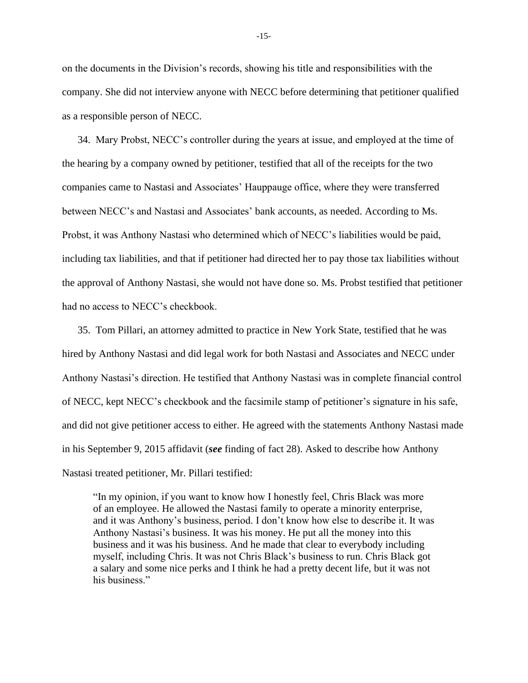on the documents in the Division's records, showing his title and responsibilities with the company. She did not interview anyone with NECC before determining that petitioner qualified as a responsible person of NECC.

34. Mary Probst, NECC's controller during the years at issue, and employed at the time of the hearing by a company owned by petitioner, testified that all of the receipts for the two companies came to Nastasi and Associates' Hauppauge office, where they were transferred between NECC's and Nastasi and Associates' bank accounts, as needed. According to Ms. Probst, it was Anthony Nastasi who determined which of NECC's liabilities would be paid, including tax liabilities, and that if petitioner had directed her to pay those tax liabilities without the approval of Anthony Nastasi, she would not have done so. Ms. Probst testified that petitioner had no access to NECC's checkbook.

35. Tom Pillari, an attorney admitted to practice in New York State, testified that he was hired by Anthony Nastasi and did legal work for both Nastasi and Associates and NECC under Anthony Nastasi's direction. He testified that Anthony Nastasi was in complete financial control of NECC, kept NECC's checkbook and the facsimile stamp of petitioner's signature in his safe, and did not give petitioner access to either. He agreed with the statements Anthony Nastasi made in his September 9, 2015 affidavit (*see* finding of fact 28). Asked to describe how Anthony Nastasi treated petitioner, Mr. Pillari testified:

"In my opinion, if you want to know how I honestly feel, Chris Black was more of an employee. He allowed the Nastasi family to operate a minority enterprise, and it was Anthony's business, period. I don't know how else to describe it. It was Anthony Nastasi's business. It was his money. He put all the money into this business and it was his business. And he made that clear to everybody including myself, including Chris. It was not Chris Black's business to run. Chris Black got a salary and some nice perks and I think he had a pretty decent life, but it was not his business."

-15-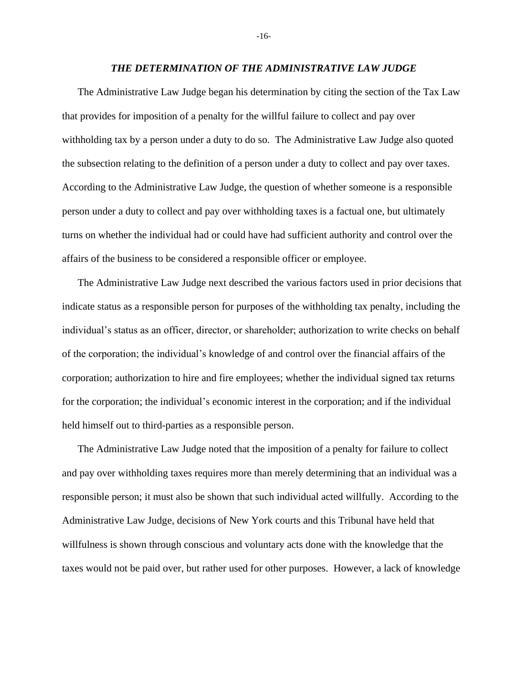#### *THE DETERMINATION OF THE ADMINISTRATIVE LAW JUDGE*

The Administrative Law Judge began his determination by citing the section of the Tax Law that provides for imposition of a penalty for the willful failure to collect and pay over withholding tax by a person under a duty to do so. The Administrative Law Judge also quoted the subsection relating to the definition of a person under a duty to collect and pay over taxes. According to the Administrative Law Judge, the question of whether someone is a responsible person under a duty to collect and pay over withholding taxes is a factual one, but ultimately turns on whether the individual had or could have had sufficient authority and control over the affairs of the business to be considered a responsible officer or employee.

The Administrative Law Judge next described the various factors used in prior decisions that indicate status as a responsible person for purposes of the withholding tax penalty, including the individual's status as an officer, director, or shareholder; authorization to write checks on behalf of the corporation; the individual's knowledge of and control over the financial affairs of the corporation; authorization to hire and fire employees; whether the individual signed tax returns for the corporation; the individual's economic interest in the corporation; and if the individual held himself out to third-parties as a responsible person.

The Administrative Law Judge noted that the imposition of a penalty for failure to collect and pay over withholding taxes requires more than merely determining that an individual was a responsible person; it must also be shown that such individual acted willfully. According to the Administrative Law Judge, decisions of New York courts and this Tribunal have held that willfulness is shown through conscious and voluntary acts done with the knowledge that the taxes would not be paid over, but rather used for other purposes. However, a lack of knowledge

-16-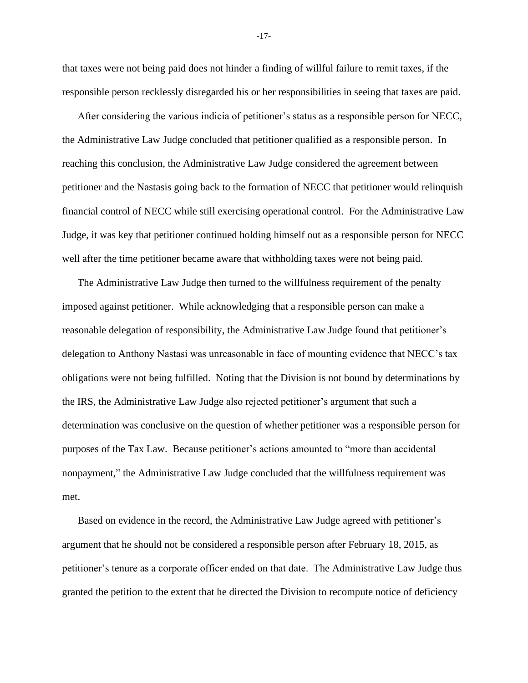that taxes were not being paid does not hinder a finding of willful failure to remit taxes, if the responsible person recklessly disregarded his or her responsibilities in seeing that taxes are paid.

After considering the various indicia of petitioner's status as a responsible person for NECC, the Administrative Law Judge concluded that petitioner qualified as a responsible person. In reaching this conclusion, the Administrative Law Judge considered the agreement between petitioner and the Nastasis going back to the formation of NECC that petitioner would relinquish financial control of NECC while still exercising operational control. For the Administrative Law Judge, it was key that petitioner continued holding himself out as a responsible person for NECC well after the time petitioner became aware that withholding taxes were not being paid.

The Administrative Law Judge then turned to the willfulness requirement of the penalty imposed against petitioner. While acknowledging that a responsible person can make a reasonable delegation of responsibility, the Administrative Law Judge found that petitioner's delegation to Anthony Nastasi was unreasonable in face of mounting evidence that NECC's tax obligations were not being fulfilled. Noting that the Division is not bound by determinations by the IRS, the Administrative Law Judge also rejected petitioner's argument that such a determination was conclusive on the question of whether petitioner was a responsible person for purposes of the Tax Law. Because petitioner's actions amounted to "more than accidental nonpayment," the Administrative Law Judge concluded that the willfulness requirement was met.

Based on evidence in the record, the Administrative Law Judge agreed with petitioner's argument that he should not be considered a responsible person after February 18, 2015, as petitioner's tenure as a corporate officer ended on that date. The Administrative Law Judge thus granted the petition to the extent that he directed the Division to recompute notice of deficiency

-17-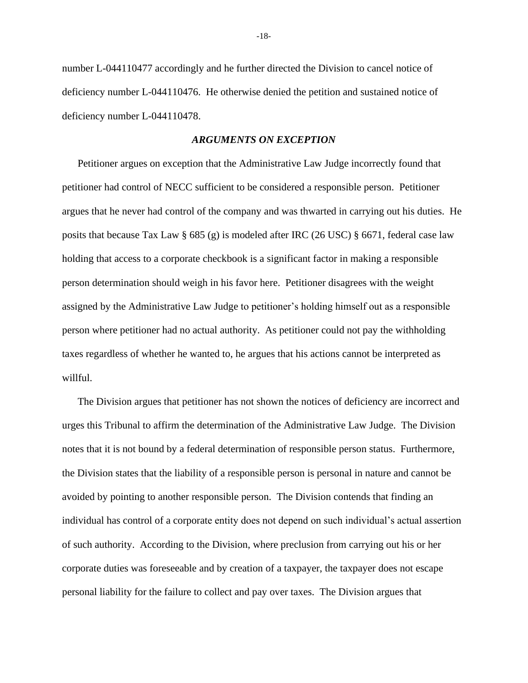number L-044110477 accordingly and he further directed the Division to cancel notice of deficiency number L-044110476. He otherwise denied the petition and sustained notice of deficiency number L-044110478.

#### *ARGUMENTS ON EXCEPTION*

Petitioner argues on exception that the Administrative Law Judge incorrectly found that petitioner had control of NECC sufficient to be considered a responsible person. Petitioner argues that he never had control of the company and was thwarted in carrying out his duties. He posits that because Tax Law § 685 (g) is modeled after IRC (26 USC) § 6671, federal case law holding that access to a corporate checkbook is a significant factor in making a responsible person determination should weigh in his favor here. Petitioner disagrees with the weight assigned by the Administrative Law Judge to petitioner's holding himself out as a responsible person where petitioner had no actual authority. As petitioner could not pay the withholding taxes regardless of whether he wanted to, he argues that his actions cannot be interpreted as willful.

The Division argues that petitioner has not shown the notices of deficiency are incorrect and urges this Tribunal to affirm the determination of the Administrative Law Judge. The Division notes that it is not bound by a federal determination of responsible person status. Furthermore, the Division states that the liability of a responsible person is personal in nature and cannot be avoided by pointing to another responsible person. The Division contends that finding an individual has control of a corporate entity does not depend on such individual's actual assertion of such authority. According to the Division, where preclusion from carrying out his or her corporate duties was foreseeable and by creation of a taxpayer, the taxpayer does not escape personal liability for the failure to collect and pay over taxes. The Division argues that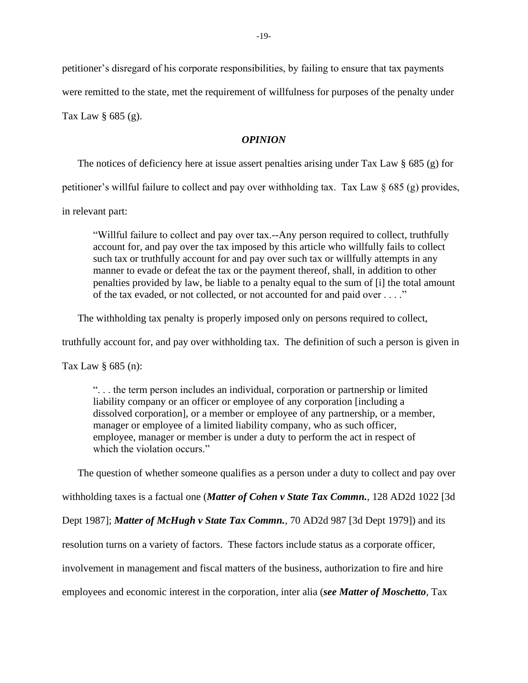petitioner's disregard of his corporate responsibilities, by failing to ensure that tax payments

were remitted to the state, met the requirement of willfulness for purposes of the penalty under

Tax Law § 685 (g).

## *OPINION*

The notices of deficiency here at issue assert penalties arising under Tax Law  $\S$  685 (g) for

petitioner's willful failure to collect and pay over withholding tax. Tax Law § 685 (g) provides,

in relevant part:

"Willful failure to collect and pay over tax.--Any person required to collect, truthfully account for, and pay over the tax imposed by this article who willfully fails to collect such tax or truthfully account for and pay over such tax or willfully attempts in any manner to evade or defeat the tax or the payment thereof, shall, in addition to other penalties provided by law, be liable to a penalty equal to the sum of [i] the total amount of the tax evaded, or not collected, or not accounted for and paid over . . . ."

The withholding tax penalty is properly imposed only on persons required to collect,

truthfully account for, and pay over withholding tax. The definition of such a person is given in

Tax Law § 685 (n):

". . . the term person includes an individual, corporation or partnership or limited liability company or an officer or employee of any corporation [including a dissolved corporation], or a member or employee of any partnership, or a member, manager or employee of a limited liability company, who as such officer, employee, manager or member is under a duty to perform the act in respect of which the violation occurs."

The question of whether someone qualifies as a person under a duty to collect and pay over withholding taxes is a factual one (*Matter of Cohen v State Tax Commn.*, 128 AD2d 1022 [3d Dept 1987]; *Matter of McHugh v State Tax Commn.*, 70 AD2d 987 [3d Dept 1979]) and its resolution turns on a variety of factors. These factors include status as a corporate officer, involvement in management and fiscal matters of the business, authorization to fire and hire employees and economic interest in the corporation, inter alia (*see Matter of Moschetto*, Tax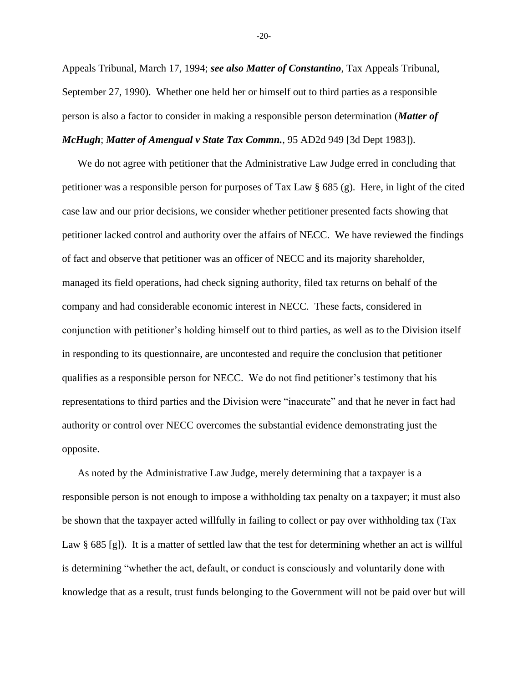Appeals Tribunal, March 17, 1994; *see also Matter of Constantino*, Tax Appeals Tribunal, September 27, 1990). Whether one held her or himself out to third parties as a responsible person is also a factor to consider in making a responsible person determination (*Matter of McHugh*; *Matter of Amengual v State Tax Commn.*, 95 AD2d 949 [3d Dept 1983]).

We do not agree with petitioner that the Administrative Law Judge erred in concluding that petitioner was a responsible person for purposes of Tax Law § 685 (g). Here, in light of the cited case law and our prior decisions, we consider whether petitioner presented facts showing that petitioner lacked control and authority over the affairs of NECC. We have reviewed the findings of fact and observe that petitioner was an officer of NECC and its majority shareholder, managed its field operations, had check signing authority, filed tax returns on behalf of the company and had considerable economic interest in NECC. These facts, considered in conjunction with petitioner's holding himself out to third parties, as well as to the Division itself in responding to its questionnaire, are uncontested and require the conclusion that petitioner qualifies as a responsible person for NECC. We do not find petitioner's testimony that his representations to third parties and the Division were "inaccurate" and that he never in fact had authority or control over NECC overcomes the substantial evidence demonstrating just the opposite.

As noted by the Administrative Law Judge, merely determining that a taxpayer is a responsible person is not enough to impose a withholding tax penalty on a taxpayer; it must also be shown that the taxpayer acted willfully in failing to collect or pay over withholding tax (Tax Law § 685 [g]). It is a matter of settled law that the test for determining whether an act is willful is determining "whether the act, default, or conduct is consciously and voluntarily done with knowledge that as a result, trust funds belonging to the Government will not be paid over but will

-20-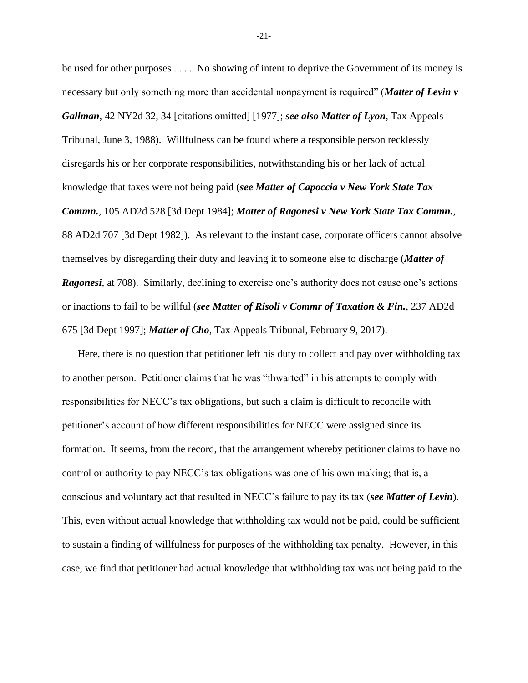be used for other purposes . . . . No showing of intent to deprive the Government of its money is necessary but only something more than accidental nonpayment is required" (*Matter of Levin v Gallman*, 42 NY2d 32, 34 [citations omitted] [1977]; *see also Matter of Lyon*, Tax Appeals Tribunal, June 3, 1988). Willfulness can be found where a responsible person recklessly disregards his or her corporate responsibilities, notwithstanding his or her lack of actual knowledge that taxes were not being paid (*see Matter of Capoccia v New York State Tax Commn.*, 105 AD2d 528 [3d Dept 1984]; *Matter of Ragonesi v New York State Tax Commn.*, 88 AD2d 707 [3d Dept 1982]). As relevant to the instant case, corporate officers cannot absolve themselves by disregarding their duty and leaving it to someone else to discharge (*Matter of Ragonesi*, at 708). Similarly, declining to exercise one's authority does not cause one's actions or inactions to fail to be willful (*see Matter of Risoli v Commr of Taxation & Fin.*, 237 AD2d 675 [3d Dept 1997]; *Matter of Cho*, Tax Appeals Tribunal, February 9, 2017).

Here, there is no question that petitioner left his duty to collect and pay over withholding tax to another person. Petitioner claims that he was "thwarted" in his attempts to comply with responsibilities for NECC's tax obligations, but such a claim is difficult to reconcile with petitioner's account of how different responsibilities for NECC were assigned since its formation. It seems, from the record, that the arrangement whereby petitioner claims to have no control or authority to pay NECC's tax obligations was one of his own making; that is, a conscious and voluntary act that resulted in NECC's failure to pay its tax (*see Matter of Levin*). This, even without actual knowledge that withholding tax would not be paid, could be sufficient to sustain a finding of willfulness for purposes of the withholding tax penalty. However, in this case, we find that petitioner had actual knowledge that withholding tax was not being paid to the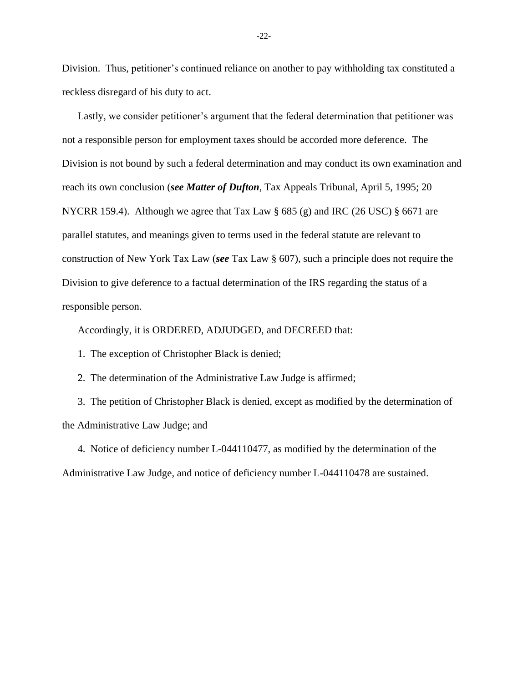Division. Thus, petitioner's continued reliance on another to pay withholding tax constituted a reckless disregard of his duty to act.

Lastly, we consider petitioner's argument that the federal determination that petitioner was not a responsible person for employment taxes should be accorded more deference. The Division is not bound by such a federal determination and may conduct its own examination and reach its own conclusion (*see Matter of Dufton*, Tax Appeals Tribunal, April 5, 1995; 20 NYCRR 159.4). Although we agree that Tax Law  $\S 685 (g)$  and IRC (26 USC)  $\S 6671$  are parallel statutes, and meanings given to terms used in the federal statute are relevant to construction of New York Tax Law (*see* Tax Law § 607), such a principle does not require the Division to give deference to a factual determination of the IRS regarding the status of a responsible person.

Accordingly, it is ORDERED, ADJUDGED, and DECREED that:

1. The exception of Christopher Black is denied;

2. The determination of the Administrative Law Judge is affirmed;

3. The petition of Christopher Black is denied, except as modified by the determination of the Administrative Law Judge; and

4. Notice of deficiency number L-044110477, as modified by the determination of the Administrative Law Judge, and notice of deficiency number L-044110478 are sustained.